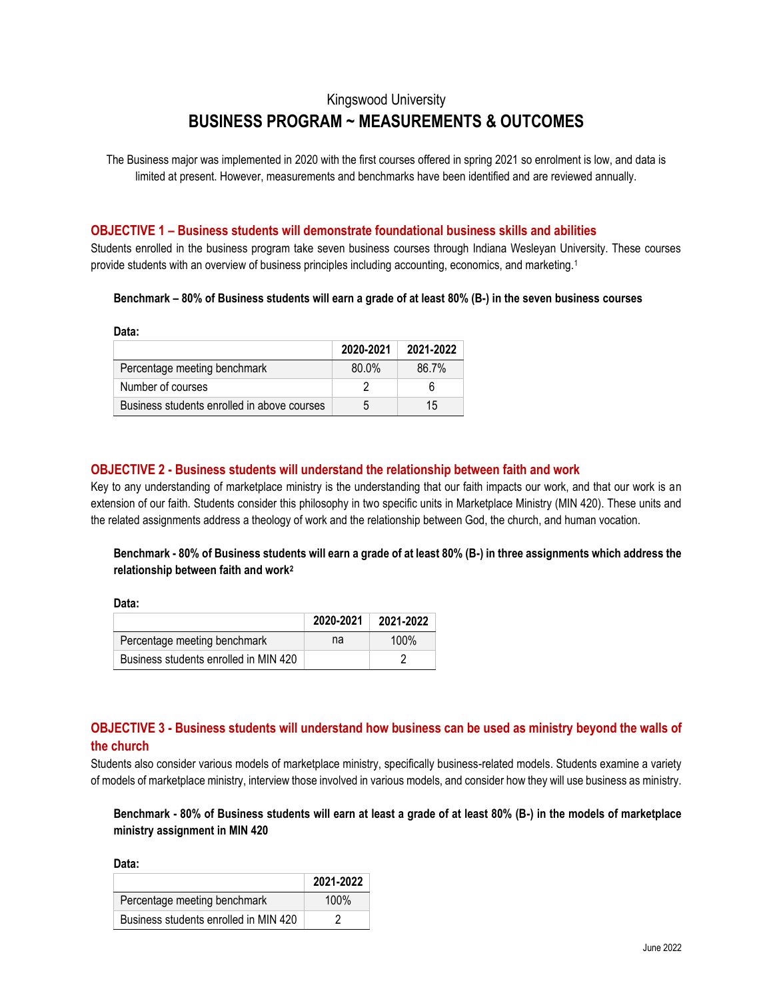# Kingswood University **BUSINESS PROGRAM ~ MEASUREMENTS & OUTCOMES**

The Business major was implemented in 2020 with the first courses offered in spring 2021 so enrolment is low, and data is limited at present. However, measurements and benchmarks have been identified and are reviewed annually.

### **OBJECTIVE 1 – Business students will demonstrate foundational business skills and abilities**

Students enrolled in the business program take seven business courses through Indiana Wesleyan University. These courses provide students with an overview of business principles including accounting, economics, and marketing.<sup>1</sup>

#### **Benchmark – 80% of Business students will earn a grade of at least 80% (B-) in the seven business courses**

**Data:**

|                                             | 2020-2021 | 2021-2022 |
|---------------------------------------------|-----------|-----------|
| Percentage meeting benchmark                | 80.0%     | 86.7%     |
| Number of courses                           |           | 6         |
| Business students enrolled in above courses | 5         | 15        |

# **OBJECTIVE 2 - Business students will understand the relationship between faith and work**

Key to any understanding of marketplace ministry is the understanding that our faith impacts our work, and that our work is an extension of our faith. Students consider this philosophy in two specific units in Marketplace Ministry (MIN 420). These units and the related assignments address a theology of work and the relationship between God, the church, and human vocation.

# **Benchmark - 80% of Business students will earn a grade of at least 80% (B-) in three assignments which address the relationship between faith and work<sup>2</sup>**

**Data:**

|                                       | 2020-2021 | 2021-2022 |
|---------------------------------------|-----------|-----------|
| Percentage meeting benchmark          | na        | $100\%$   |
| Business students enrolled in MIN 420 |           |           |

# **OBJECTIVE 3 - Business students will understand how business can be used as ministry beyond the walls of the church**

Students also consider various models of marketplace ministry, specifically business-related models. Students examine a variety of models of marketplace ministry, interview those involved in various models, and consider how they will use business as ministry.

# **Benchmark - 80% of Business students will earn at least a grade of at least 80% (B-) in the models of marketplace ministry assignment in MIN 420**

**Data:**

|                                       | 2021-2022 |
|---------------------------------------|-----------|
| Percentage meeting benchmark          | 100%      |
| Business students enrolled in MIN 420 | 2         |